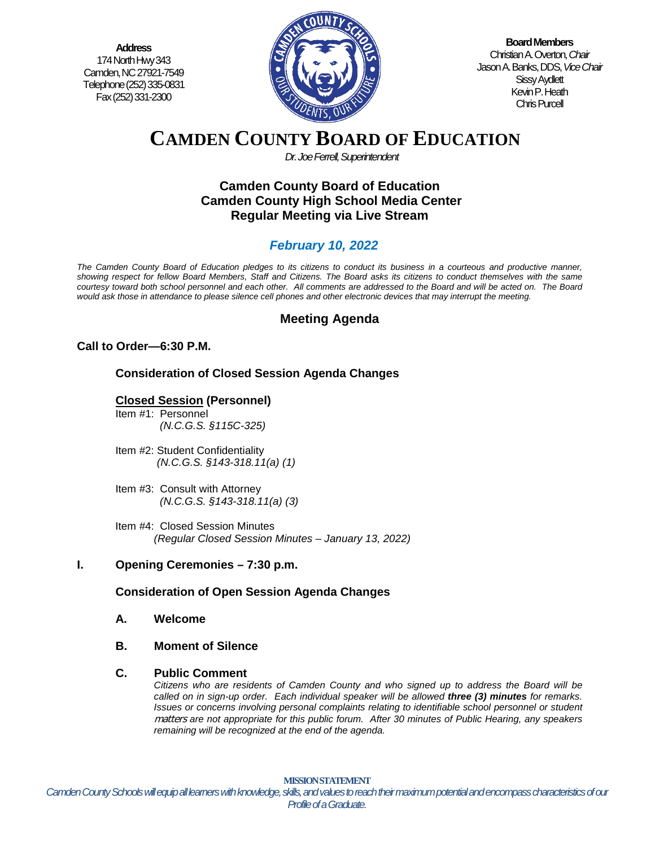**Address** 174 North Hwy 343 Camden, NC 27921-7549 Telephone (252) 335-0831 Fax (252) 331-2300



**Board Members** Christian A. Overton, *Chair* Jason A. Banks, DDS,*Vice Chair* Sissy Aydlett Kevin P. Heath Chris Purcell

# **CAMDEN COUNTY BOARD OF EDUCATION**

*Dr. Joe Ferrell, Superintendent*

# **Camden County Board of Education Camden County High School Media Center Regular Meeting via Live Stream**

# *February 10, 2022*

*The Camden County Board of Education pledges to its citizens to conduct its business in a courteous and productive manner, showing respect for fellow Board Members, Staff and Citizens. The Board asks its citizens to conduct themselves with the same courtesy toward both school personnel and each other. All comments are addressed to the Board and will be acted on. The Board would ask those in attendance to please silence cell phones and other electronic devices that may interrupt the meeting.*

# **Meeting Agenda**

# **Call to Order—6:30 P.M.**

# **Consideration of Closed Session Agenda Changes**

# **Closed Session (Personnel)**

- Item #1: Personnel *(N.C.G.S. §115C-325)*
- Item #2: Student Confidentiality *(N.C.G.S. §143-318.11(a) (1)*
- Item #3: Consult with Attorney  *(N.C.G.S. §143-318.11(a) (3)*
- Item #4: Closed Session Minutes *(Regular Closed Session Minutes – January 13, 2022)*

# **I. Opening Ceremonies – 7:30 p.m.**

# **Consideration of Open Session Agenda Changes**

- **A. Welcome**
- **B. Moment of Silence**

#### **C. Public Comment**

*Citizens who are residents of Camden County and who signed up to address the Board will be called on in sign-up order. Each individual speaker will be allowed three (3) minutes for remarks. Issues or concerns involving personal complaints relating to identifiable school personnel or student* matters *are not appropriate for this public forum. After 30 minutes of Public Hearing, any speakers remaining will be recognized at the end of the agenda.*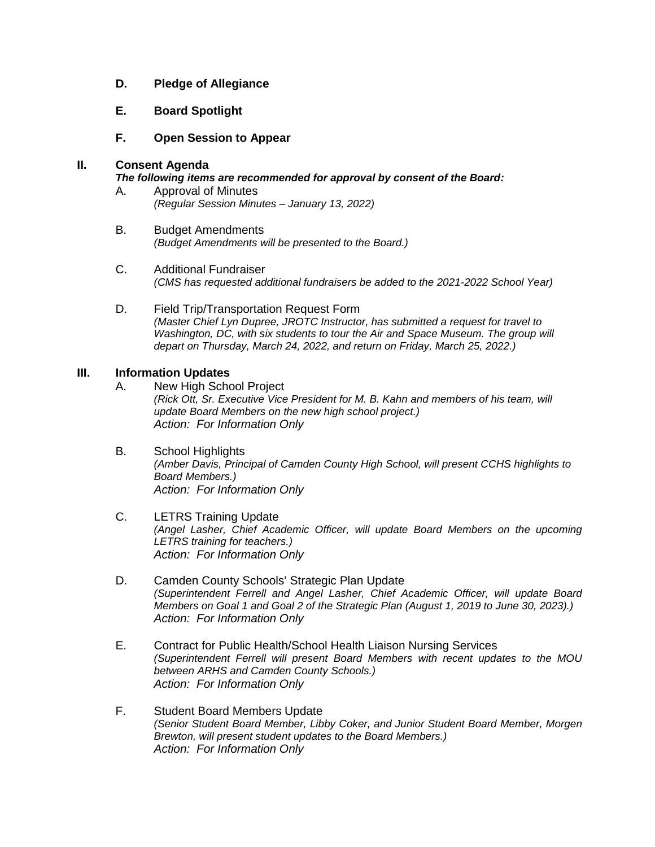- **D. Pledge of Allegiance**
- **E. Board Spotlight**
- **F. Open Session to Appear**

#### **II. Consent Agenda**

#### *The following items are recommended for approval by consent of the Board:*

- A. Approval of Minutes *(Regular Session Minutes – January 13, 2022)*
- B. Budget Amendments *(Budget Amendments will be presented to the Board.)*
- C. Additional Fundraiser *(CMS has requested additional fundraisers be added to the 2021-2022 School Year)*
- D. Field Trip/Transportation Request Form *(Master Chief Lyn Dupree, JROTC Instructor, has submitted a request for travel to Washington, DC, with six students to tour the Air and Space Museum. The group will depart on Thursday, March 24, 2022, and return on Friday, March 25, 2022.)*

#### **III. Information Updates**

- A. New High School Project *(Rick Ott, Sr. Executive Vice President for M. B. Kahn and members of his team, will update Board Members on the new high school project.) Action: For Information Only*
- B. School Highlights *(Amber Davis, Principal of Camden County High School, will present CCHS highlights to Board Members.) Action: For Information Only*
- C. LETRS Training Update *(Angel Lasher, Chief Academic Officer, will update Board Members on the upcoming LETRS training for teachers.) Action: For Information Only*
- D. Camden County Schools' Strategic Plan Update *(Superintendent Ferrell and Angel Lasher, Chief Academic Officer, will update Board Members on Goal 1 and Goal 2 of the Strategic Plan (August 1, 2019 to June 30, 2023).) Action: For Information Only*
- E. Contract for Public Health/School Health Liaison Nursing Services *(Superintendent Ferrell will present Board Members with recent updates to the MOU between ARHS and Camden County Schools.) Action: For Information Only*
- F. Student Board Members Update *(Senior Student Board Member, Libby Coker, and Junior Student Board Member, Morgen Brewton, will present student updates to the Board Members.) Action: For Information Only*